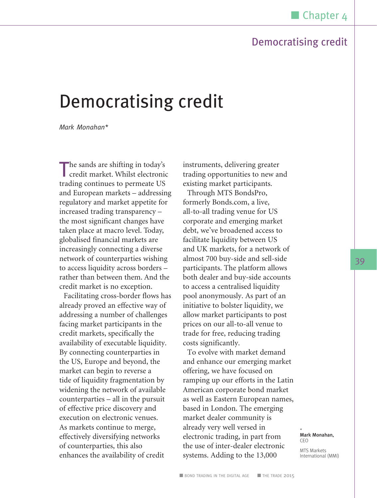*Mark Monahan\**

The sands are shifting in today's credit market. Whilst electronic trading continues to permeate US and European markets – addressing regulatory and market appetite for increased trading transparency – the most significant changes have taken place at macro level. Today, globalised financial markets are increasingly connecting a diverse network of counterparties wishing to access liquidity across borders – rather than between them. And the credit market is no exception.

Facilitating cross-border flows has already proved an effective way of addressing a number of challenges facing market participants in the credit markets, specifically the availability of executable liquidity. By connecting counterparties in the US, Europe and beyond, the market can begin to reverse a tide of liquidity fragmentation by widening the network of available counterparties – all in the pursuit of effective price discovery and execution on electronic venues. As markets continue to merge, effectively diversifying networks of counterparties, this also enhances the availability of credit

instruments, delivering greater trading opportunities to new and existing market participants.

Through MTS BondsPro, formerly Bonds.com, a live, all-to-all trading venue for US corporate and emerging market debt, we've broadened access to facilitate liquidity between US and UK markets, for a network of almost 700 buy-side and sell-side participants. The platform allows both dealer and buy-side accounts to access a centralised liquidity pool anonymously. As part of an initiative to bolster liquidity, we allow market participants to post prices on our all-to-all venue to trade for free, reducing trading costs significantly.

To evolve with market demand and enhance our emerging market offering, we have focused on ramping up our efforts in the Latin American corporate bond market as well as Eastern European names, based in London. The emerging market dealer community is already very well versed in electronic trading, in part from the use of inter-dealer electronic systems. Adding to the 13,000

\* Mark Monahan, CEO MTS Markets International (MMI)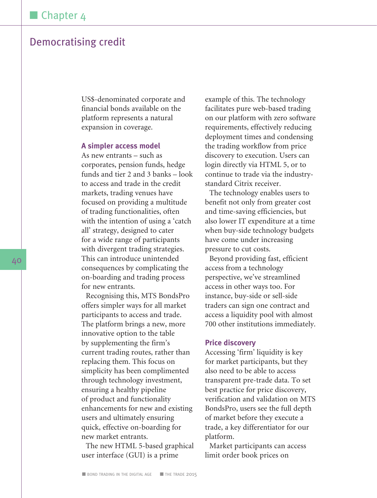US\$-denominated corporate and financial bonds available on the platform represents a natural expansion in coverage.

#### **A simpler access model**

As new entrants – such as corporates, pension funds, hedge funds and tier 2 and 3 banks – look to access and trade in the credit markets, trading venues have focused on providing a multitude of trading functionalities, often with the intention of using a 'catch all' strategy, designed to cater for a wide range of participants with divergent trading strategies. This can introduce unintended consequences by complicating the on-boarding and trading process for new entrants.

Recognising this, MTS BondsPro offers simpler ways for all market participants to access and trade. The platform brings a new, more innovative option to the table by supplementing the firm's current trading routes, rather than replacing them. This focus on simplicity has been complimented through technology investment, ensuring a healthy pipeline of product and functionality enhancements for new and existing users and ultimately ensuring quick, effective on-boarding for new market entrants.

The new HTML 5-based graphical user interface (GUI) is a prime

example of this. The technology facilitates pure web-based trading on our platform with zero software requirements, effectively reducing deployment times and condensing the trading workflow from price discovery to execution. Users can login directly via HTML 5, or to continue to trade via the industrystandard Citrix receiver.

The technology enables users to benefit not only from greater cost and time-saving efficiencies, but also lower IT expenditure at a time when buy-side technology budgets have come under increasing pressure to cut costs.

Beyond providing fast, efficient access from a technology perspective, we've streamlined access in other ways too. For instance, buy-side or sell-side traders can sign one contract and access a liquidity pool with almost 700 other institutions immediately.

#### **Price discovery**

Accessing 'firm' liquidity is key for market participants, but they also need to be able to access transparent pre-trade data. To set best practice for price discovery, verification and validation on MTS BondsPro, users see the full depth of market before they execute a trade, a key differentiator for our platform.

Market participants can access limit order book prices on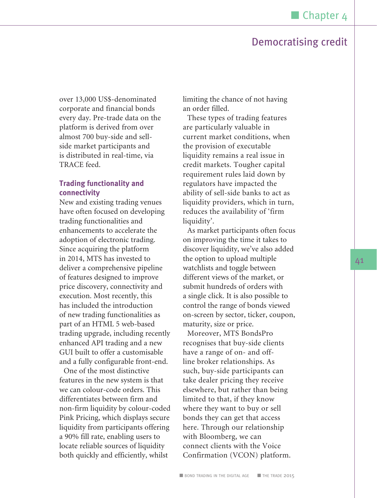over 13,000 US\$-denominated corporate and financial bonds every day. Pre-trade data on the platform is derived from over almost 700 buy-side and sellside market participants and is distributed in real-time, via TRACE feed.

### **Trading functionality and connectivity**

New and existing trading venues have often focused on developing trading functionalities and enhancements to accelerate the adoption of electronic trading. Since acquiring the platform in 2014, MTS has invested to deliver a comprehensive pipeline of features designed to improve price discovery, connectivity and execution. Most recently, this has included the introduction of new trading functionalities as part of an HTML 5 web-based trading upgrade, including recently enhanced API trading and a new GUI built to offer a customisable and a fully configurable front-end.

One of the most distinctive features in the new system is that we can colour-code orders. This differentiates between firm and non-firm liquidity by colour-coded Pink Pricing, which displays secure liquidity from participants offering a 90% fill rate, enabling users to locate reliable sources of liquidity both quickly and efficiently, whilst

limiting the chance of not having an order filled.

These types of trading features are particularly valuable in current market conditions, when the provision of executable liquidity remains a real issue in credit markets. Tougher capital requirement rules laid down by regulators have impacted the ability of sell-side banks to act as liquidity providers, which in turn, reduces the availability of 'firm liquidity'.

As market participants often focus on improving the time it takes to discover liquidity, we've also added the option to upload multiple watchlists and toggle between different views of the market, or submit hundreds of orders with a single click. It is also possible to control the range of bonds viewed on-screen by sector, ticker, coupon, maturity, size or price.

Moreover, MTS BondsPro recognises that buy-side clients have a range of on- and offline broker relationships. As such, buy-side participants can take dealer pricing they receive elsewhere, but rather than being limited to that, if they know where they want to buy or sell bonds they can get that access here. Through our relationship with Bloomberg, we can connect clients with the Voice Confirmation (VCON) platform.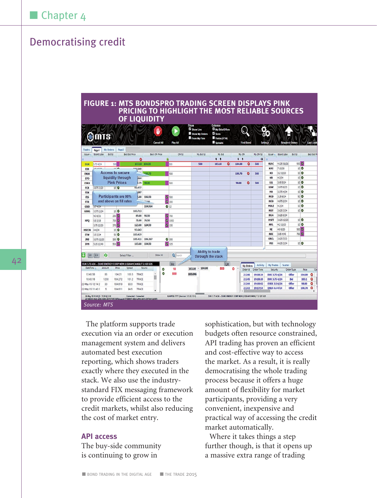### **FIGURE 1: MTS BONDSPRO TRADING SCREEN DISPLAYS PINK PRICING TO HIGHLIGHT THE MOST RELIABLE SOURCES OF LIQUIDITY**

|                   |                                    |                    |                                                                                 |                       |              |               | <b>Cancel All</b>     |   | Pay All                             | From My Firm | Sow My Orders           | 7 <sub>Szm</sub><br>Yields (YTW)<br>Spreads                      |      |                      | <b>Find Bong</b> |            | Settings             |                   | submit Order        |                    |                |
|-------------------|------------------------------------|--------------------|---------------------------------------------------------------------------------|-----------------------|--------------|---------------|-----------------------|---|-------------------------------------|--------------|-------------------------|------------------------------------------------------------------|------|----------------------|------------------|------------|----------------------|-------------------|---------------------|--------------------|----------------|
| Trades<br>Issuer  | Panel<br><b>Board Labe</b>         | My Orders<br>Bd Sz | Pape2                                                                           | <b>Best Bid Price</b> |              |               | <b>Best Ofr Price</b> |   | Ofr Sz                              |              | My Bd S2                | My Sid                                                           |      | My Ofr               |                  | My Ofr Sz  | Issuer A             | <b>Board Labe</b> | Bid Sz              |                    | Best Bid Pr    |
|                   |                                    |                    |                                                                                 |                       | ٥            |               |                       | ٥ |                                     |              |                         | $\ddot{\bullet}$ $\ddot{\bullet}$                                |      | $\ddot{\phantom{1}}$ |                  | a          | B                    |                   |                     |                    |                |
| <b>DUK</b>        | 3.75 4/24                          |                    | 500                                                                             |                       |              | 103.10 104.00 |                       |   | 530                                 |              | 500                     | 103.10                                                           | ٥    | 104.00               | ٥                | 500        | KLAC                 | 4.125 11/21       |                     | soo <mark>o</mark> |                |
| EIX               | <b>SEARIN</b>                      |                    | وهالمد                                                                          |                       | <b>M2549</b> |               |                       |   |                                     |              |                         |                                                                  |      |                      |                  |            | <b>KHI</b>           | 7 10/28           |                     | 10Q                |                |
| ENLK              |                                    |                    | <b>Access to secure</b>                                                         |                       | $\sim$       | 100,70        |                       |   | 500                                 |              |                         |                                                                  |      | 100,70               | ٥                | <b>SM</b>  | KO                   | 3.2 11/23         |                     | 10Q                |                |
| EPO               |                                    |                    | liquidity through                                                               |                       | <b>D64</b>   |               |                       |   |                                     |              |                         |                                                                  |      |                      |                  |            | KR                   | 42/24             |                     | 10 <sup>o</sup>    |                |
| <b>ESRX</b>       |                                    |                    | <b>Pink Prices</b>                                                              |                       | 7.79         | 98.00         |                       |   | son                                 |              |                         |                                                                  |      | 98.00                | ٥                | 500        | $\mathbf{u}$         | 3.95 5/24         |                     | 10Q                |                |
| FCX               | 3,875 3/23                         |                    | 10 <sup>o</sup>                                                                 |                       | 93.477       |               |                       |   |                                     |              |                         |                                                                  |      |                      |                  |            | LOW                  | 3.875 9/23        |                     | 10Q                |                |
| FDX               |                                    |                    |                                                                                 |                       | $\sqrt{287}$ |               |                       |   |                                     |              |                         |                                                                  |      |                      |                  |            | <b>HA</b>            | 3.375 4/24        |                     | 10Q                |                |
| <b>FIS</b>        |                                    |                    | Participants are 90%                                                            |                       | 00.          | 106.50        |                       |   | 280                                 |              |                         |                                                                  |      |                      |                  |            | <b>MCD</b>           | 3.25 6/24         |                     | 50                 |                |
| <b>FTR</b>        |                                    |                    | and above on fill rates                                                         |                       |              | $-150$        |                       |   | 200                                 |              |                         |                                                                  |      |                      |                  |            | <b>HCO</b>           | 4.875 2/24        |                     | 10Q                |                |
| GILD              | 3.74/24                            |                    |                                                                                 |                       |              | 104,964       |                       |   | $\bullet$ 12                        |              |                         |                                                                  |      |                      |                  |            | <b>MDLZ</b>          | 42/24             |                     | $10$ $\bullet$     |                |
| <b>GOOG</b>       | 3.375 2/24                         |                    | $10$ $\bullet$                                                                  |                       | 103,713      |               |                       |   |                                     |              |                         |                                                                  |      |                      |                  |            | <b>HOT</b>           | 3.6253/24         |                     | 10Q                |                |
|                   | 4.3.6/21                           |                    | $250$ $\sigma$                                                                  |                       | 89.00        | 90.50         |                       |   | 0.700                               |              |                         |                                                                  |      |                      |                  |            | <b>MGA</b>           | 3.625 6/24        |                     |                    |                |
| <b>HPO</b>        | \$53/18                            |                    | 700                                                                             |                       | 75.00        | 76.50         |                       | ۰ | 1000                                |              |                         |                                                                  |      |                      |                  |            | <b>MSFT</b>          | 3.625 12/23       |                     | 10Q                |                |
|                   | 3.75 12/20                         |                    | 370 <sub>o</sub>                                                                |                       | 123.00       | 124.50        |                       |   | 6150                                |              |                         |                                                                  |      |                      |                  |            | <b>MYL</b>           | 4.2 11/23         |                     | 10                 |                |
| <b>HSECN</b>      | 44/24                              |                    | 10 <sup>o</sup>                                                                 |                       | 93.643       |               |                       |   |                                     |              |                         |                                                                  |      |                      |                  |            | NE                   | 4.9 8/20          |                     | 500 <b>C</b>       |                |
| <b>ITW</b>        | 3.5 3/24                           |                    | 50 0                                                                            |                       | 103,419      |               |                       |   |                                     |              |                         |                                                                  |      |                      |                  |            | NOC                  | 3.85 4/45         |                     | 700 C              |                |
| JNJ               | 3.375 12/23                        |                    | $150$ $\bullet$                                                                 |                       | 105,411      | 106,367       |                       |   | $Q$ 300                             |              |                         |                                                                  |      |                      |                  |            | ORCL                 | 3.625 7/23        |                     |                    |                |
| <b>JPM</b>        | 5.15 12/49                         |                    | 500 <sub>o</sub>                                                                |                       | 103.00       | 104.50        |                       |   | $\sigma$ <sub>325</sub>             |              |                         |                                                                  |      |                      |                  |            | 981                  | 4.625 3/24        |                     | 10 <sup>o</sup>    |                |
| Ŧ<br>$\epsilon$   |                                    | G                  |                                                                                 | Select Filter         |              |               | Show All              |   | Q Search                            |              | <b>Ability to trade</b> | through the stack                                                |      |                      |                  |            |                      |                   |                     |                    |                |
|                   |                                    |                    | DUK 3.75 4/24 - DUKE ENERGY CORP NEW (US26441CAN56) T 2.125 925                 |                       |              |               |                       |   | Hit                                 |              |                         |                                                                  | Lift |                      | My Orders        | Activity   | My Trades            | <b>Scatter</b>    |                     |                    |                |
| Date Time         |                                    | Ambuit             | Price                                                                           | Soread                |              | Source        |                       | ۰ | 10                                  | 103.10       | 104.00<br>$\Delta$      | 500                                                              |      | $\overline{A}$<br>٥  | Order Id         | Order Time | Security             |                   | <b>Circler Type</b> | Price              | $\overline{c}$ |
| 13:43:56          |                                    | 8\$                | 104.21                                                                          | 105.5                 | TRACE        |               | ٠                     | ٥ | 500                                 | 103.046      |                         |                                                                  |      |                      | 21246            | 19:18:24   | DUK 3.75 4/24        |                   | Offer               | 104.00             | ٥              |
| 10:43:16          |                                    | 1200               | 104.272                                                                         | 101.2                 | TRACE        |               |                       |   |                                     |              |                         |                                                                  |      |                      | 21245            | 19:18:20   | DUK 3.75 4/24        |                   | BM                  | 103.1              | ٥              |
| 22-May-15 12:14:2 |                                    | 30                 | 104,619                                                                         | 93.0                  | TRACE        |               |                       |   |                                     |              |                         |                                                                  |      |                      | 21244            | 19:18:02   | <b>ESRX 3.5 6/24</b> |                   | Offer               | 98.00              | ۵              |
| 22-May-15 11:40:1 |                                    | \$                 | 104,611                                                                         | 045                   | TRACE        |               |                       |   |                                     |              |                         |                                                                  |      |                      | 21243            | 19:17:54   | <b>ENLK 4.4 4/24</b> |                   | Offer               | 100.70             | ٥              |
|                   | 26 May 19:10:49 (0 / 33, 014) 2.00 |                    | AC16BO63-8643-4292-A690-A675770FC58FMvsuid-073EB057-6B2A-4F90-AA15-D575A13459F0 | Connected / Connected |              |               |                       |   | KJAPP26:7777 (Version: 5.5.22.13-1) |              |                         | DUK 3.75 4/24 - DUNE ENERGY CORP NEW (US26441CANS6) T 2.125 5/25 |      |                      |                  |            |                      |                   |                     |                    |                |

The platform supports trade execution via an order or execution management system and delivers automated best execution reporting, which shows traders exactly where they executed in the stack. We also use the industrystandard FIX messaging framework to provide efficient access to the credit markets, whilst also reducing the cost of market entry.

### **API access**

The buy-side community is continuing to grow in

sophistication, but with technology budgets often resource constrained, API trading has proven an efficient and cost-effective way to access the market. As a result, it is really democratising the whole trading process because it offers a huge amount of flexibility for market participants, providing a very convenient, inexpensive and practical way of accessing the credit market automatically.

Where it takes things a step further though, is that it opens up a massive extra range of trading